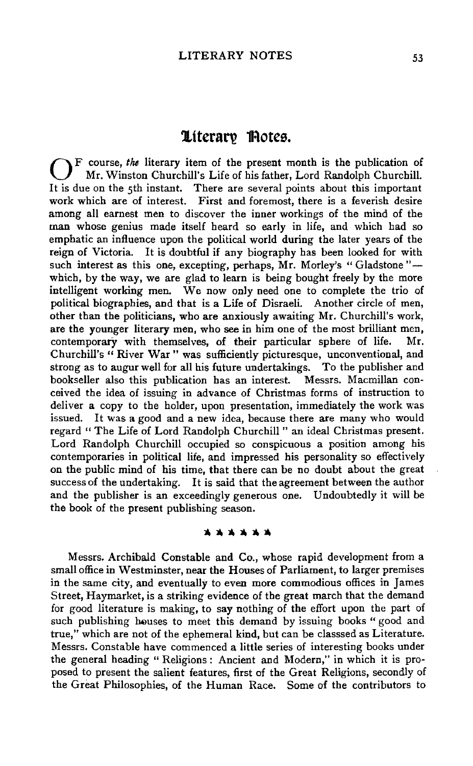# **1ttcran? 1Rotcs.**

0 F course, *the* literary item of the present month is the publication of Mr. Winston Churchill's Life of his father, Lord Randolph Churchill. It is due on the 5th instant. There are several points about this important work which are of interest. First and foremost, there is a feverish desire among all earnest men to discover the inner workings of the mind of the man whose genius made itself heard so early in life, and which had so emphatic an influence upon the political world during the later years of the reign of Victoria. It is doubtful if any biography bas been looked for with such interest as this one, excepting, perhaps, Mr. Morley's "Gladstone"which, by the way, we are glad to learn is being bought freely by the more intelligent working men. We now only need one to complete the trio of political biographies, and that is a Life of Disraeli. Another cirde of men, other than the politicians, who are anxiously awaiting Mr. Churchill's work, are the younger literary men, who see in him one of the most brilliant men, contemporary with themselves, of their particular sphere of life. Mr. Churchill's " River War " was sufficiently picturesque, unconventional, and strong as to augur well for all his future undertakings. To the publisher and bookseller also this publication bas an interest. Messrs. Macmillan conceived the idea of issuing in advance of Christmas forms of instruction to deliver a copy to the holder, upon presentation, immediately the work was issued. It was a good and a new idea, because there are many who would regard " The Life of Lord Randolph Churchill " an ideal Christmas present. Lord Randolph Churchill occupied so conspicuous a position among his contemporaries in political life, and impressed his personality so effectively on the public mind of his time, that there can be no doubt about the great success of the undertaking. It is said that the agreement between the author and the publisher is an exceedingly generous one. Undoubtedly it will be the book of the present publishing season.

## \* \* \* \* \* \*

Messrs. Archibald Constable and Co., whose rapid development from a small office in Westminster, near the Houses of Parliament, to larger premises in the same city, and eventually to even more commodious offices in James Street, Haymarket, is a striking evidence of the great march that the demand for good literature is making, to say nothing of the effort upon the part of such publishing houses to meet this demand by issuing books " good and true," which are not of the ephemeral kind, but can be classsed as Literature. Messrs. Constable have commenced a little series of interesting books under the general heading " Religions : Ancient and Modern," in which it is proposed to present the salient features, first of the Great Religions, secondly of the Great Philosophies, of the Human Race. Some of the contributors to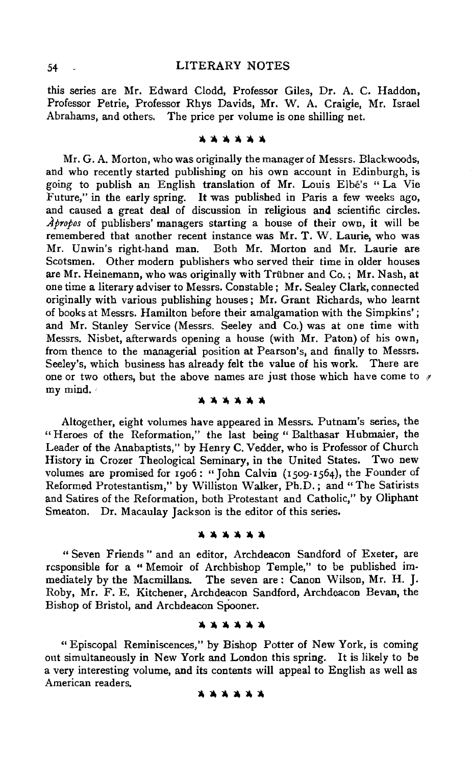## 54 LITERARY NOTES

this series are Mr. Edward Clodd, Professor Giles, Dr. A. C. Haddon, Professor Petrie, Professor Rhys Davids, Mr. W. A. Craigie, Mr. Israel Abrahams, and others. The price per volume is one shilling net.

#### \*\*\*\*\*\*

Mr. G. A. Morton, who was originally the manager of Messrs. Blackwoods, and who recently started publishing on his own account in Edinburgh, is going to publish an English translation of Mr. Louis Elbe's "La Vie Future," in the early spring. It was published in Paris a few weeks ago, and caused a great deal of discussion in religious and scientific circles. *.Apropos* of publishers' managers starting a house of their own, it will be remembered that another recent instance was Mr. T. W. Laurie, who was Mr. Unwin's right-hand man. Both Mr. Morton and Mr. Laurie are Scotsmen. Other modern publishers who served their time in older houses are Mr. Heinemann, who was originally with Trubner and Co.; Mr. Nash, at one time a literary adviser to Messrs. Constable; Mr. Sealey Clark, connected originally with various publishing houses; Mr. Grant Richards, who learnt of books at Messrs. Hamilton before their amalgamation with the Simpkins' ; and Mr. Stanley Service (Messrs. Seeley and Co.) was at one time with Messrs. Nisbet, afterwards opening a house (with Mr. Paton) of his own, from thence to the managerial position at Pearson's, and finally to Messrs. Seeley's, which business has already felt the value of his work. There are one or two others, but the above names are just those which have come to  $\gamma$ my mind. •

\* \* \* \* \* \*

Altogether, eight volumes have appeared in Messrs. Putnam's series, the "Heroes of the Reformation," the last being "Balthasar Hubmaier, the Leader of the Anabaptists," by Henry C. Vedder, who is Professor of Church History in Crozer Theological Seminary, in the United States. Two new volumes are promised for 1906: "John Calvin (1509-1564), the Founder of Reformed Protestantism," by Williston Walker, Ph.D.; and "The Satirists and Satires of the Reformation, both Protestant and Catholic," by Oliphant Smeaton. Dr. Macaulay Jackson is the editor of this series.

#### \*\*\*\*\*

" Seven Friends " and an editor, Archdeacon Sandford of Exeter, are responsible for a " Memoir of Archbishop Temple," to be published immediately by the Macmillans. The seven are: Canon Wilson, Mr. H. J. Roby, Mr. F. E. Kitchener, Archdeacon Sandford, Archdeacon Bevan, the Bishop of Bristol, and Archdeacon Spooner.

**lt,lt,lt,lt,ll,ll,** 

"Episcopal Reminiscences," by Bishop Potter of New York, is coming out simultaneously in New York and London this spring. It is likely to be a very interesting volume, and its contents will appeal to English as well as American readers.

### \*\*\*\*\*\*